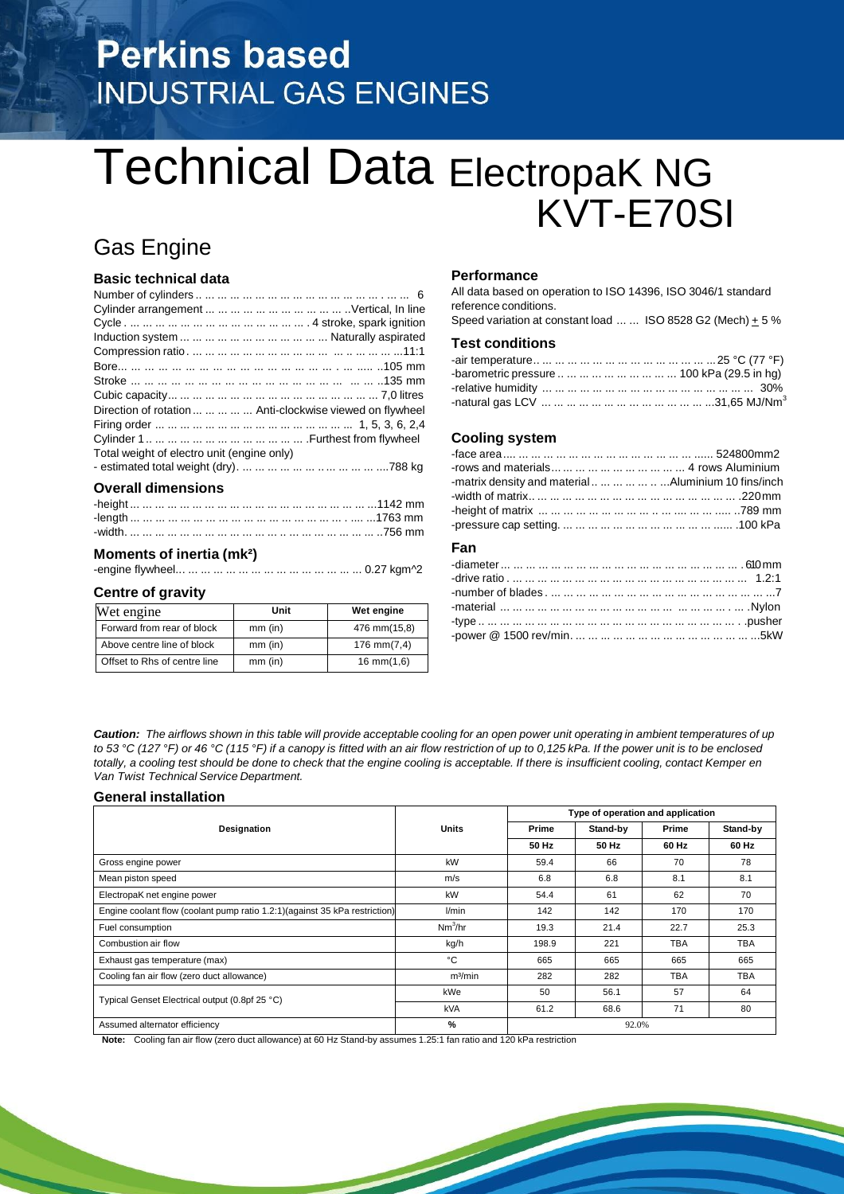# **Perkins based INDUSTRIAL GAS ENGINES**

# Technical Data ElectropaK NG KVT-E70SI

# Gas Engine

#### **Basic technical data**

| Direction of rotation      Anti-clockwise viewed on flywheel |  |
|--------------------------------------------------------------|--|
|                                                              |  |
|                                                              |  |
| Total weight of electro unit (engine only)                   |  |
|                                                              |  |
|                                                              |  |

#### **Overall dimensions**

#### **Moments of inertia (mk²)**

-engine flywheel... ... ... ... ... ... ... ... ... ... ... ... ... ... ... 0.27 kgm^2

#### **Centre of gravity**

| Wet engine                   | Unit      | Wet engine      |
|------------------------------|-----------|-----------------|
| Forward from rear of block   | $mm$ (in) | 476 mm(15,8)    |
| Above centre line of block   | $mm$ (in) | 176 mm $(7,4)$  |
| Offset to Rhs of centre line | $mm$ (in) | $16$ mm $(1,6)$ |

#### **Performance**

All data based on operation to ISO 14396, ISO 3046/1 standard reference conditions.

Speed variation at constant load ... ... ISO 8528 G2 (Mech)  $\pm$  5 %

## **Test conditions**

| -barometric pressure          100 kPa (29.5 in hg) |  |
|----------------------------------------------------|--|
|                                                    |  |
|                                                    |  |

#### **Cooling system**

| -matrix density and material        Aluminium 10 fins/inch |  |
|------------------------------------------------------------|--|
|                                                            |  |
|                                                            |  |
|                                                            |  |

#### **Fan**

Caution: The airflows shown in this table will provide acceptable cooling for an open power unit operating in ambient temperatures of up to 53 °C (127 °F) or 46 °C (115 °F) if a canopy is fitted with an air flow restriction of up to 0,125 kPa. If the power unit is to be enclosed totally, a cooling test should be done to check that the engine cooling is acceptable. If there is insufficient cooling, contact Kemper en *Van Twist Technical Service Department.*

#### **General installation**

|                                                                            |                     | Type of operation and application |          |            |            |
|----------------------------------------------------------------------------|---------------------|-----------------------------------|----------|------------|------------|
| Designation                                                                | <b>Units</b>        | Prime                             | Stand-by | Prime      | Stand-by   |
|                                                                            |                     | 50 Hz                             | 50 Hz    | 60 Hz      | 60 Hz      |
| Gross engine power                                                         | kW                  | 59.4                              | 66       | 70         | 78         |
| Mean piston speed                                                          | m/s                 | 6.8                               | 6.8      | 8.1        | 8.1        |
| ElectropaK net engine power                                                | kW                  | 54.4                              | 61       | 62         | 70         |
| Engine coolant flow (coolant pump ratio 1.2:1)(against 35 kPa restriction) | l/min               | 142                               | 142      | 170        | 170        |
| Fuel consumption                                                           | Nm <sup>3</sup> /hr | 19.3                              | 21.4     | 22.7       | 25.3       |
| Combustion air flow                                                        | kg/h                | 198.9                             | 221      | <b>TBA</b> | TBA        |
| Exhaust gas temperature (max)                                              | °C                  | 665                               | 665      | 665        | 665        |
| Cooling fan air flow (zero duct allowance)                                 | m <sup>3</sup> /min | 282                               | 282      | <b>TBA</b> | <b>TBA</b> |
| Typical Genset Electrical output (0.8pf 25 °C)                             | kWe                 | 50                                | 56.1     | 57         | 64         |
|                                                                            | kVA                 | 61.2                              | 68.6     | 71         | 80         |
| Assumed alternator efficiency                                              | %                   |                                   | 92.0%    |            |            |

**Note:** Cooling fan air flow (zero duct allowance) at 60 Hz Stand-by assumes 1.25:1 fan ratio and 120 kPa restriction